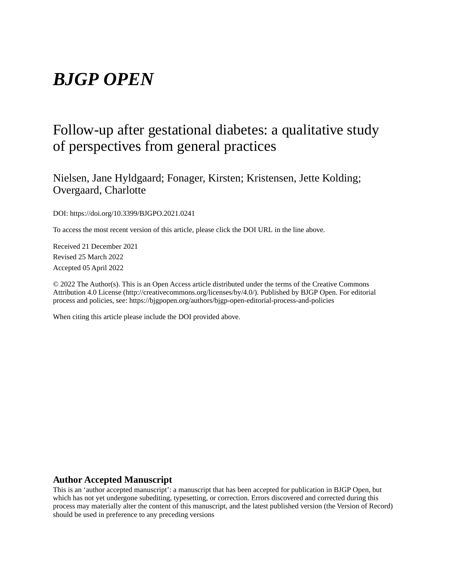# *BJGP OPEN*

# Follow-up after gestational diabetes: a qualitative study of perspectives from general practices

Nielsen, Jane Hyldgaard; Fonager, Kirsten; Kristensen, Jette Kolding; Overgaard, Charlotte

DOI: https://doi.org/10.3399/BJGPO.2021.0241

To access the most recent version of this article, please click the DOI URL in the line above.

Received 21 December 2021 Revised 25 March 2022 Accepted 05 April 2022

© 2022 The Author(s). This is an Open Access article distributed under the terms of the Creative Commons Attribution 4.0 License (http://creativecommons.org/licenses/by/4.0/). Published by BJGP Open. For editorial process and policies, see: https://bjgpopen.org/authors/bjgp-open-editorial-process-and-policies

When citing this article please include the DOI provided above.

# **Author Accepted Manuscript**

This is an 'author accepted manuscript': a manuscript that has been accepted for publication in BJGP Open, but which has not yet undergone subediting, typesetting, or correction. Errors discovered and corrected during this process may materially alter the content of this manuscript, and the latest published version (the Version of Record) should be used in preference to any preceding versions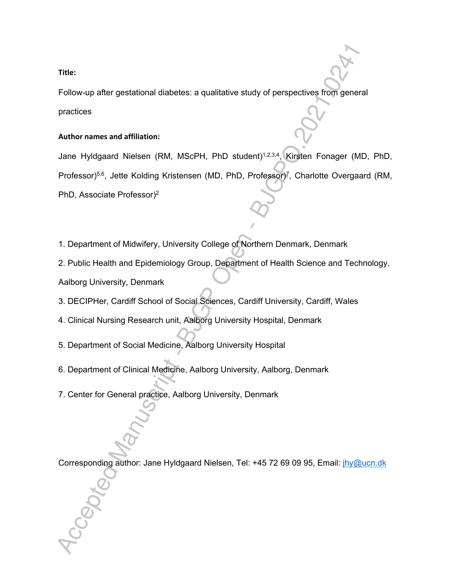# **Title:**

Follow-up after gestational diabetes: a qualitative study of perspectives from general practices

# **Author names and affiliation:**

Jane Hyldgaard Nielsen (RM, MScPH, PhD student)1,2,3,4, Kirsten Fonager (MD, PhD, Professor)<sup>5,6</sup>, Jette Kolding Kristensen (MD, PhD, Professor)<sup>7</sup>, Charlotte Overgaard (RM, PhD, Associate Professor)<sup>2</sup>

1. Department of Midwifery, University College of Northern Denmark, Denmark

2. Public Health and Epidemiology Group, Department of Health Science and Technology, Aalborg University, Denmark

- 3. DECIPHer, Cardiff School of Social Sciences, Cardiff University, Cardiff, Wales
- 4. Clinical Nursing Research unit, Aalborg University Hospital, Denmark
- 5. Department of Social Medicine, Aalborg University Hospital
- 6. Department of Clinical Medicine, Aalborg University, Aalborg, Denmark
- 7. Center for General practice, Aalborg University, Denmark

Corresponding author: Jane Hyldgaard Nielsen, Tel: +45 72 69 09 95, Email: jhy@ucn.dk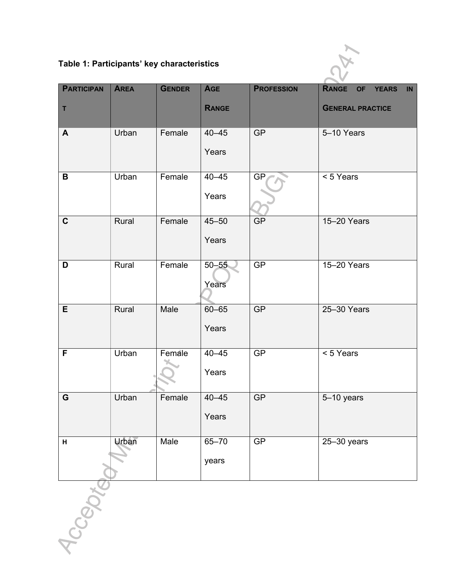**Table 1: Participants' key characteristics** 



| <b>PARTICIPAN</b><br>T | <b>AREA</b>  | <b>GENDER</b> | <b>AGE</b><br><b>RANGE</b> | <b>PROFESSION</b> | RANGE<br>IN<br>OF YEARS<br><b>GENERAL PRACTICE</b> |
|------------------------|--------------|---------------|----------------------------|-------------------|----------------------------------------------------|
| $\mathbf{A}$           | Urban        | Female        | $40 - 45$<br>Years         | <b>GP</b>         | 5-10 Years                                         |
| B                      | Urban        | Female        | $40 - 45$<br>Years         | <b>GP</b>         | < 5 Years                                          |
| $\mathbf C$            | Rural        | Female        | $45 - 50$<br>Years         | GP                | 15-20 Years                                        |
| D                      | Rural        | Female        | $50 - 55$<br>Years         | GP                | 15-20 Years                                        |
| E                      | Rural        | Male          | $60 - 65$<br>Years         | GP                | 25-30 Years                                        |
| F                      | Urban        | Female        | $40 - 45$<br>Years         | GP                | < 5 Years                                          |
| G                      | Urban        | Female        | $40 - 45$<br>Years         | <b>GP</b>         | 5-10 years                                         |
| H                      | <b>Urban</b> | Male          | $65 - 70$<br>years         | GP                | $25 - 30$ years                                    |
| ICCBNX                 |              |               |                            |                   |                                                    |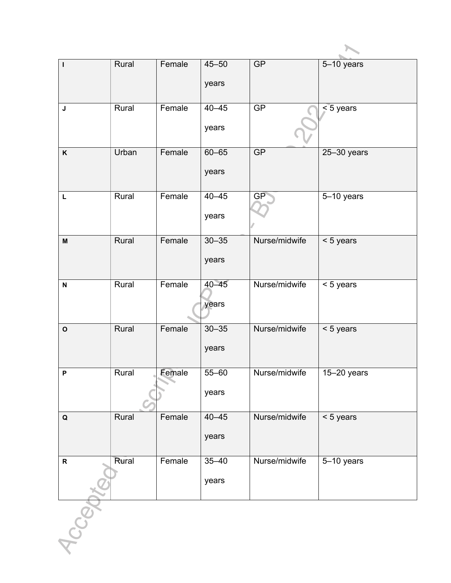| $\mathbf{I}$              | Rural | Female | $45 - 50$ | GP            | 5-10 years      |
|---------------------------|-------|--------|-----------|---------------|-----------------|
|                           |       |        | years     |               |                 |
|                           |       |        |           |               |                 |
| $\mathsf{J}$              | Rural | Female | $40 - 45$ | GP            | $< 5$ years     |
|                           |       |        | years     |               |                 |
|                           |       |        |           |               |                 |
| $\mathsf{K}$              | Urban | Female | $60 - 65$ | <b>GP</b>     | $25 - 30$ years |
|                           |       |        | years     |               |                 |
|                           |       |        |           |               |                 |
| L                         | Rural | Female | $40 - 45$ | GP            | 5-10 years      |
|                           |       |        | years     |               |                 |
|                           |       |        |           |               |                 |
| $\boldsymbol{\mathsf{M}}$ | Rural | Female | $30 - 35$ | Nurse/midwife | < 5 years       |
|                           |       |        | years     |               |                 |
|                           |       |        |           |               |                 |
| $\boldsymbol{\mathsf{N}}$ | Rural | Female | $40 - 45$ | Nurse/midwife | < 5 years       |
|                           |       |        | years     |               |                 |
|                           |       |        |           |               |                 |
| $\mathbf{o}$              | Rural | Female | $30 - 35$ | Nurse/midwife | < 5 years       |
|                           |       |        | years     |               |                 |
|                           |       |        |           |               |                 |
| P                         | Rural | Female | 55-60     | Nurse/midwife | $15 - 20$ years |
|                           |       |        | years     |               |                 |
|                           |       |        |           |               |                 |
| $\mathbf Q$               | Rural | Female | $40 - 45$ | Nurse/midwife | < 5 years       |
|                           |       |        | years     |               |                 |
|                           |       |        |           |               |                 |
| ${\sf R}$                 | Rural | Female | $35 - 40$ | Nurse/midwife | 5-10 years      |
|                           |       |        | years     |               |                 |
|                           |       |        |           |               |                 |
|                           |       |        |           |               |                 |
| $\mathcal{S}$             |       |        |           |               |                 |
|                           |       |        |           |               |                 |
|                           |       |        |           |               |                 |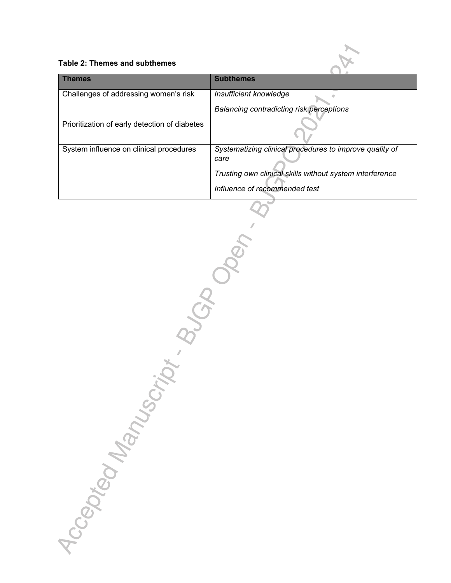

| <b>Themes</b>                                 | <b>Subthemes</b>                                                |
|-----------------------------------------------|-----------------------------------------------------------------|
| Challenges of addressing women's risk         | Insufficient knowledge                                          |
|                                               | Balancing contradicting risk perceptions                        |
| Prioritization of early detection of diabetes |                                                                 |
| System influence on clinical procedures       | Systematizing clinical procedures to improve quality of<br>care |
|                                               | Trusting own clinical skills without system interference        |
|                                               | Influence of recommended test                                   |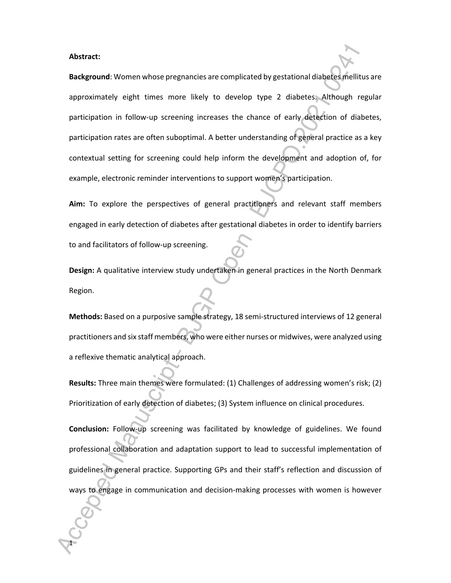**Abstract:** 

1

**Background**: Women whose pregnancies are complicated by gestational diabetes mellitus are approximately eight times more likely to develop type 2 diabetes. Although regular participation in follow-up screening increases the chance of early detection of diabetes, participation rates are often suboptimal. A better understanding of general practice as a key contextual setting for screening could help inform the development and adoption of, for example, electronic reminder interventions to support women's participation.

**Aim:** To explore the perspectives of general practitioners and relevant staff members engaged in early detection of diabetes after gestational diabetes in order to identify barriers to and facilitators of follow-up screening.

**Design:** A qualitative interview study undertaken in general practices in the North Denmark Region.

**Methods:** Based on a purposive sample strategy, 18 semi-structured interviews of 12 general practitioners and six staff members, who were either nurses or midwives, were analyzed using a reflexive thematic analytical approach.

**Results:** Three main themes were formulated: (1) Challenges of addressing women's risk; (2) Prioritization of early detection of diabetes; (3) System influence on clinical procedures.

**Conclusion:** Follow-up screening was facilitated by knowledge of guidelines. We found professional collaboration and adaptation support to lead to successful implementation of guidelines in general practice. Supporting GPs and their staff's reflection and discussion of ways to engage in communication and decision-making processes with women is however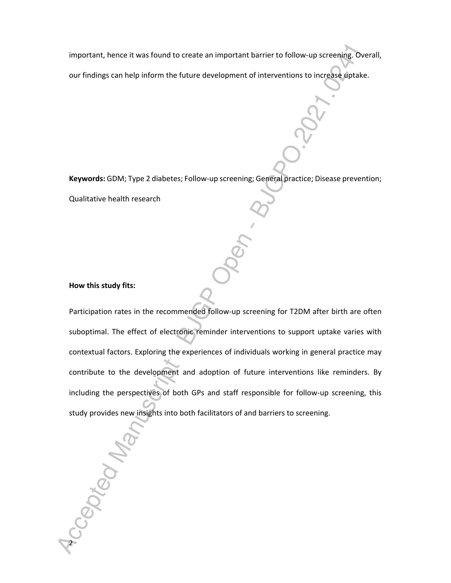important, hence it was found to create an important barrier to follow-up screening. Overall,

our findings can help inform the future development of interventions to increase uptake.

**Keywords:** GDM; Type 2 diabetes; Follow-up screening; General practice; Disease prevention;

Qualitative health research

#### **How this study fits:**

-Ceptedy-

Participation rates in the recommended follow-up screening for T2DM after birth are often suboptimal. The effect of electronic reminder interventions to support uptake varies with contextual factors. Exploring the experiences of individuals working in general practice may contribute to the development and adoption of future interventions like reminders. By including the perspectives of both GPs and staff responsible for follow-up screening, this study provides new insights into both facilitators of and barriers to screening.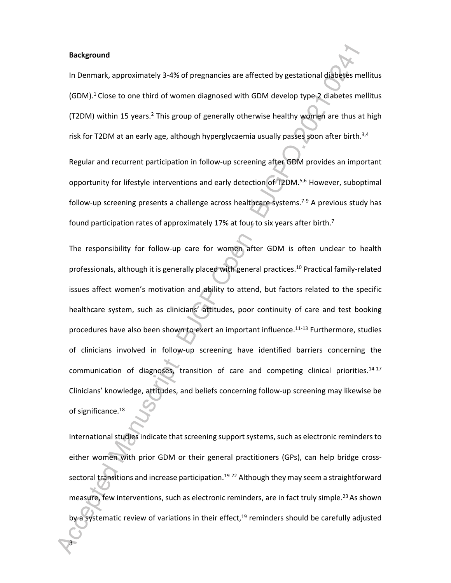**Background**

3

In Denmark, approximately 3-4% of pregnancies are affected by gestational diabetes mellitus  $(GDM).<sup>1</sup>$  Close to one third of women diagnosed with GDM develop type 2 diabetes mellitus (T2DM) within 15 years.<sup>2</sup> This group of generally otherwise healthy women are thus at high risk for T2DM at an early age, although hyperglycaemia usually passes soon after birth.<sup>3,4</sup>

Regular and recurrent participation in follow-up screening after GDM provides an important opportunity for lifestyle interventions and early detection of T2DM.5,6 However, suboptimal follow-up screening presents a challenge across healthcare systems.<sup>7-9</sup> A previous study has found participation rates of approximately 17% at four to six years after birth.<sup>7</sup>

The responsibility for follow-up care for women after GDM is often unclear to health professionals, although it is generally placed with general practices.<sup>10</sup> Practical family-related issues affect women's motivation and ability to attend, but factors related to the specific healthcare system, such as clinicians' attitudes, poor continuity of care and test booking procedures have also been shown to exert an important influence.11-13 Furthermore, studies of clinicians involved in follow-up screening have identified barriers concerning the communication of diagnoses, transition of care and competing clinical priorities.14-17 Clinicians' knowledge, attitudes, and beliefs concerning follow-up screening may likewise be of significance.<sup>18</sup>

International studies indicate that screening support systems, such as electronic reminders to either women with prior GDM or their general practitioners (GPs), can help bridge crosssectoral transitions and increase participation.<sup>19-22</sup> Although they may seem a straightforward measure, few interventions, such as electronic reminders, are in fact truly simple.<sup>23</sup> As shown by a systematic review of variations in their effect,<sup>19</sup> reminders should be carefully adjusted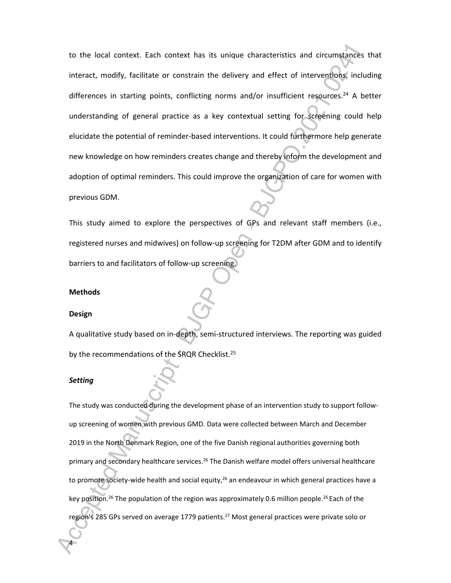to the local context. Each context has its unique characteristics and circumstances that interact, modify, facilitate or constrain the delivery and effect of interventions, including differences in starting points, conflicting norms and/or insufficient resources.<sup>24</sup> A better understanding of general practice as a key contextual setting for screening could help elucidate the potential of reminder-based interventions. It could furthermore help generate new knowledge on how reminders creates change and thereby inform the development and adoption of optimal reminders. This could improve the organization of care for women with previous GDM.

This study aimed to explore the perspectives of GPs and relevant staff members (i.e., registered nurses and midwives) on follow-up screening for T2DM after GDM and to identify barriers to and facilitators of follow-up screening.

# **Methods**

#### **Design**

A qualitative study based on in-depth, semi-structured interviews. The reporting was guided by the recommendations of the SRQR Checklist.<sup>25</sup>

#### *Setting*

4

The study was conducted during the development phase of an intervention study to support followup screening of women with previous GMD. Data were collected between March and December 2019 in the North Denmark Region, one of the five Danish regional authorities governing both primary and secondary healthcare services.<sup>26</sup> The Danish welfare model offers universal healthcare to promote society-wide health and social equity,<sup>26</sup> an endeavour in which general practices have a key position.<sup>26</sup> The population of the region was approximately 0.6 million people.<sup>26</sup> Each of the region's 285 GPs served on average 1779 patients.<sup>27</sup> Most general practices were private solo or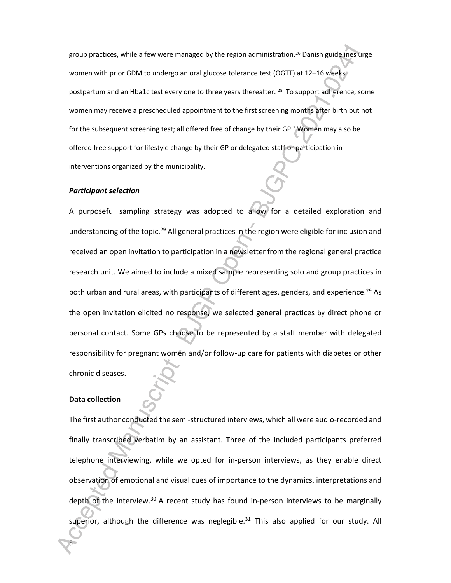group practices, while a few were managed by the region administration.<sup>26</sup> Danish guidelines urge women with prior GDM to undergo an oral glucose tolerance test (OGTT) at 12-16 weeks postpartum and an Hba1c test every one to three years thereafter. <sup>28</sup> To support adherence, some women may receive a prescheduled appointment to the first screening months after birth but not for the subsequent screening test; all offered free of change by their GP.<sup>7</sup> Women may also be offered free support for lifestyle change by their GP or delegated staff or participation in interventions organized by the municipality.

#### *Participant selection*

A purposeful sampling strategy was adopted to allow for a detailed exploration and understanding of the topic.<sup>29</sup> All general practices in the region were eligible for inclusion and received an open invitation to participation in a newsletter from the regional general practice research unit. We aimed to include a mixed sample representing solo and group practices in both urban and rural areas, with participants of different ages, genders, and experience.<sup>29</sup> As the open invitation elicited no response, we selected general practices by direct phone or personal contact. Some GPs choose to be represented by a staff member with delegated responsibility for pregnant women and/or follow-up care for patients with diabetes or other chronic diseases.

#### **Data collection**

5

The first author conducted the semi-structured interviews, which all were audio-recorded and finally transcribed verbatim by an assistant. Three of the included participants preferred telephone interviewing, while we opted for in-person interviews, as they enable direct observation of emotional and visual cues of importance to the dynamics, interpretations and depth of the interview. $30$  A recent study has found in-person interviews to be marginally superior, although the difference was neglegible.<sup>31</sup> This also applied for our study. All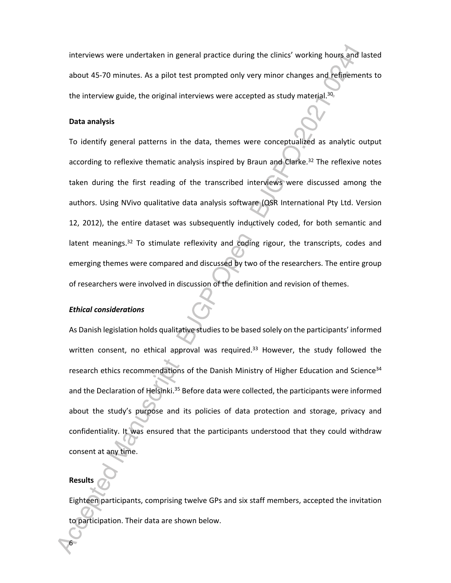interviews were undertaken in general practice during the clinics' working hours and lasted about 45-70 minutes. As a pilot test prompted only very minor changes and refinements to the interview guide, the original interviews were accepted as study material. $30$ 

# **Data analysis**

To identify general patterns in the data, themes were conceptualized as analytic output according to reflexive thematic analysis inspired by Braun and Clarke.<sup>32</sup> The reflexive notes taken during the first reading of the transcribed interviews were discussed among the authors. Using NVivo qualitative data analysis software (QSR International Pty Ltd. Version 12, 2012), the entire dataset was subsequently inductively coded, for both semantic and latent meanings.<sup>32</sup> To stimulate reflexivity and coding rigour, the transcripts, codes and emerging themes were compared and discussed by two of the researchers. The entire group of researchers were involved in discussion of the definition and revision of themes.

### *Ethical considerations*

As Danish legislation holds qualitative studies to be based solely on the participants' informed written consent, no ethical approval was required.<sup>33</sup> However, the study followed the research ethics recommendations of the Danish Ministry of Higher Education and Science<sup>34</sup> and the Declaration of Helsinki.<sup>35</sup> Before data were collected, the participants were informed about the study's purpose and its policies of data protection and storage, privacy and confidentiality. It was ensured that the participants understood that they could withdraw consent at any time.

# **Results**

6

Eighteen participants, comprising twelve GPs and six staff members, accepted the invitation to participation. Their data are shown below.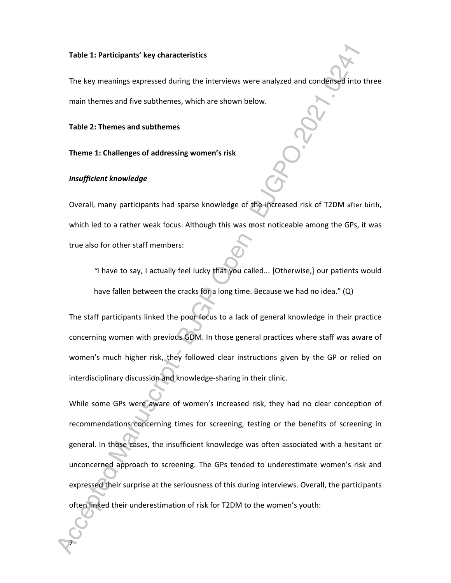#### **Table 1: Participants' key characteristics**

The key meanings expressed during the interviews were analyzed and condensed into three main themes and five subthemes, which are shown below.

#### **Table 2: Themes and subthemes**

#### **Theme 1: Challenges of addressing women's risk**

#### *Insufficient knowledge*

7

Overall, many participants had sparse knowledge of the increased risk of T2DM after birth, which led to a rather weak focus. Although this was most noticeable among the GPs, it was true also for other staff members:

*"*I have to say, I actually feel lucky that you called... [Otherwise,] our patients would have fallen between the cracks for a long time. Because we had no idea." (Q)

The staff participants linked the poor focus to a lack of general knowledge in their practice concerning women with previous GDM. In those general practices where staff was aware of women's much higher risk, they followed clear instructions given by the GP or relied on interdisciplinary discussion and knowledge-sharing in their clinic.

While some GPs were aware of women's increased risk, they had no clear conception of recommendations concerning times for screening, testing or the benefits of screening in general. In those cases, the insufficient knowledge was often associated with a hesitant or unconcerned approach to screening. The GPs tended to underestimate women's risk and expressed their surprise at the seriousness of this during interviews. Overall, the participants often linked their underestimation of risk for T2DM to the women's youth: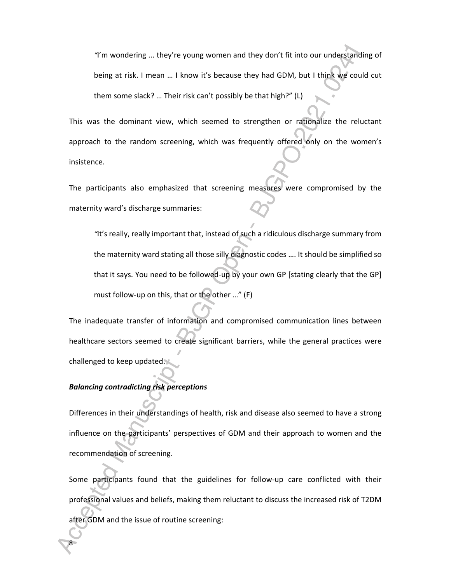*"*I'm wondering ... they're young women and they don't fit into our understanding of being at risk. I mean … I know it's because they had GDM, but I think we could cut them some slack? … Their risk can't possibly be that high?" (L)

This was the dominant view, which seemed to strengthen or rationalize the reluctant approach to the random screening, which was frequently offered only on the women's insistence.

The participants also emphasized that screening measures were compromised by the maternity ward's discharge summaries:

*"*It's really, really important that, instead of such a ridiculous discharge summary from the maternity ward stating all those silly diagnostic codes …. It should be simplified so that it says. You need to be followed-up by your own GP [stating clearly that the GP] must follow-up on this, that or the other …" (F)

The inadequate transfer of information and compromised communication lines between healthcare sectors seemed to create significant barriers, while the general practices were challenged to keep updated.

#### *Balancing contradicting risk perceptions*

8

Differences in their understandings of health, risk and disease also seemed to have a strong influence on the participants' perspectives of GDM and their approach to women and the recommendation of screening.

Some participants found that the guidelines for follow-up care conflicted with their professional values and beliefs, making them reluctant to discuss the increased risk of T2DM after GDM and the issue of routine screening: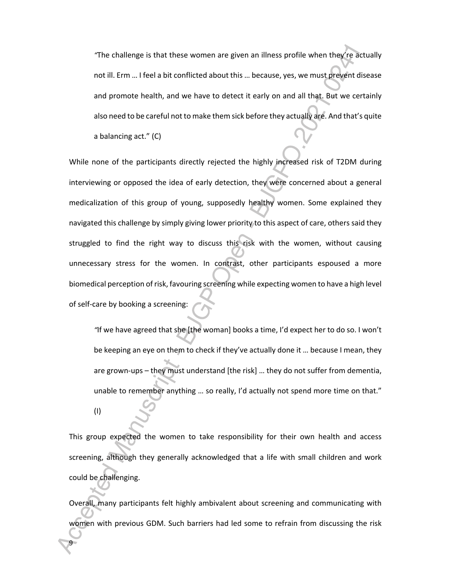*"*The challenge is that these women are given an illness profile when they're actually not ill. Erm … I feel a bit conflicted about this … because, yes, we must prevent disease and promote health, and we have to detect it early on and all that. But we certainly also need to be careful not to make them sick before they actually are. And that's quite a balancing act." (C)

While none of the participants directly rejected the highly increased risk of T2DM during interviewing or opposed the idea of early detection, they were concerned about a general medicalization of this group of young, supposedly healthy women. Some explained they navigated this challenge by simply giving lower priority to this aspect of care, others said they struggled to find the right way to discuss this risk with the women, without causing unnecessary stress for the women. In contrast, other participants espoused a more biomedical perception of risk, favouring screening while expecting women to have a high level of self-care by booking a screening:

*"*If we have agreed that she [the woman] books a time, I'd expect her to do so. I won't be keeping an eye on them to check if they've actually done it … because I mean, they are grown-ups – they must understand [the risk] … they do not suffer from dementia, unable to remember anything … so really, I'd actually not spend more time on that."

(I)

9

This group expected the women to take responsibility for their own health and access screening, although they generally acknowledged that a life with small children and work could be challenging.

Overall, many participants felt highly ambivalent about screening and communicating with women with previous GDM. Such barriers had led some to refrain from discussing the risk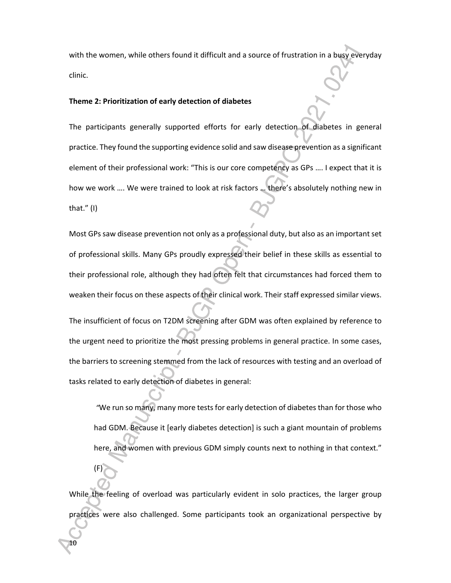with the women, while others found it difficult and a source of frustration in a busy everyday clinic.

#### **Theme 2: Prioritization of early detection of diabetes**

The participants generally supported efforts for early detection of diabetes in general practice. They found the supporting evidence solid and saw disease prevention as a significant element of their professional work: "This is our core competency as GPs …. I expect that it is how we work …. We were trained to look at risk factors … there's absolutely nothing new in that." (I)

Most GPs saw disease prevention not only as a professional duty, but also as an important set of professional skills. Many GPs proudly expressed their belief in these skills as essential to their professional role, although they had often felt that circumstances had forced them to weaken their focus on these aspects of their clinical work. Their staff expressed similar views.

The insufficient of focus on T2DM screening after GDM was often explained by reference to the urgent need to prioritize the most pressing problems in general practice. In some cases, the barriers to screening stemmed from the lack of resources with testing and an overload of tasks related to early detection of diabetes in general:

*"*We run so many, many more tests for early detection of diabetes than for those who had GDM. Because it [early diabetes detection] is such a giant mountain of problems here, and women with previous GDM simply counts next to nothing in that context."

While the feeling of overload was particularly evident in solo practices, the larger group practices were also challenged. Some participants took an organizational perspective by

10

(F)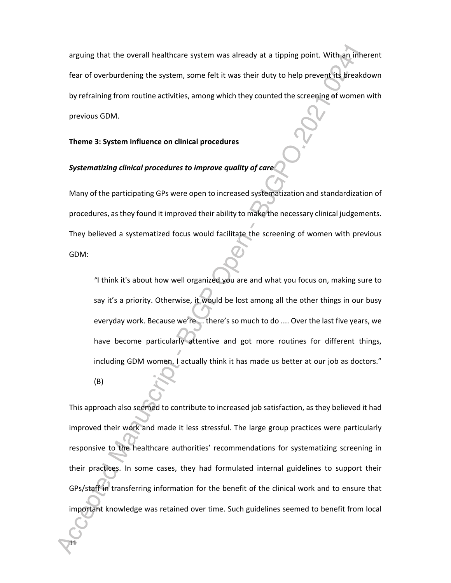arguing that the overall healthcare system was already at a tipping point. With an inherent fear of overburdening the system, some felt it was their duty to help prevent its breakdown by refraining from routine activities, among which they counted the screening of women with previous GDM.

# **Theme 3: System influence on clinical procedures**

# *Systematizing clinical procedures to improve quality of care*

Many of the participating GPs were open to increased systematization and standardization of procedures, as they found it improved their ability to make the necessary clinical judgements. They believed a systematized focus would facilitate the screening of women with previous GDM:

*"*I think it's about how well organized you are and what you focus on, making sure to say it's a priority. Otherwise, it would be lost among all the other things in our busy everyday work. Because we're ... there's so much to do .... Over the last five years, we have become particularly attentive and got more routines for different things, including GDM women. I actually think it has made us better at our job as doctors."

(B)

11

This approach also seemed to contribute to increased job satisfaction, as they believed it had improved their work and made it less stressful. The large group practices were particularly responsive to the healthcare authorities' recommendations for systematizing screening in their practices. In some cases, they had formulated internal guidelines to support their GPs/staff in transferring information for the benefit of the clinical work and to ensure that important knowledge was retained over time. Such guidelines seemed to benefit from local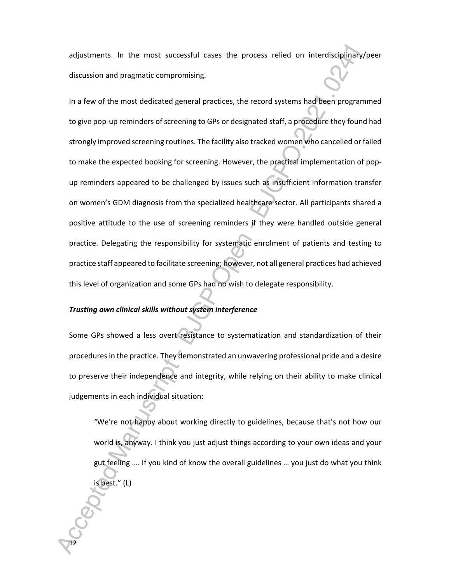adjustments. In the most successful cases the process relied on interdisciplinary/peer discussion and pragmatic compromising.

In a few of the most dedicated general practices, the record systems had been programmed to give pop-up reminders of screening to GPs or designated staff, a procedure they found had strongly improved screening routines. The facility also tracked women who cancelled or failed to make the expected booking for screening. However, the practical implementation of popup reminders appeared to be challenged by issues such as insufficient information transfer on women's GDM diagnosis from the specialized healthcare sector. All participants shared a positive attitude to the use of screening reminders if they were handled outside general practice. Delegating the responsibility for systematic enrolment of patients and testing to practice staff appeared to facilitate screening; however, not all general practices had achieved this level of organization and some GPs had no wish to delegate responsibility.

#### *Trusting own clinical skills without system interference*

12

Some GPs showed a less overt resistance to systematization and standardization of their procedures in the practice. They demonstrated an unwavering professional pride and a desire to preserve their independence and integrity, while relying on their ability to make clinical judgements in each individual situation:

*"*We're not happy about working directly to guidelines, because that's not how our world is, anyway. I think you just adjust things according to your own ideas and your gut feeling …. If you kind of know the overall guidelines … you just do what you think is best." (L)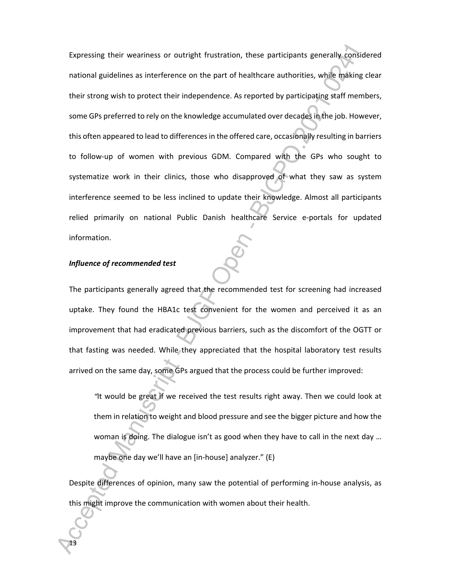Expressing their weariness or outright frustration, these participants generally considered national guidelines as interference on the part of healthcare authorities, while making clear their strong wish to protect their independence. As reported by participating staff members, some GPs preferred to rely on the knowledge accumulated over decades in the job. However, this often appeared to lead to differences in the offered care, occasionally resulting in barriers to follow-up of women with previous GDM. Compared with the GPs who sought to systematize work in their clinics, those who disapproved of what they saw as system interference seemed to be less inclined to update their knowledge. Almost all participants relied primarily on national Public Danish healthcare Service e-portals for updated information.

# *Influence of recommended test*

13

The participants generally agreed that the recommended test for screening had increased uptake. They found the HBA1c test convenient for the women and perceived it as an improvement that had eradicated previous barriers, such as the discomfort of the OGTT or that fasting was needed. While they appreciated that the hospital laboratory test results arrived on the same day, some GPs argued that the process could be further improved:

*"*It would be great if we received the test results right away. Then we could look at them in relation to weight and blood pressure and see the bigger picture and how the woman is doing. The dialogue isn't as good when they have to call in the next day … maybe one day we'll have an [in-house] analyzer." (E)

Despite differences of opinion, many saw the potential of performing in-house analysis, as this might improve the communication with women about their health.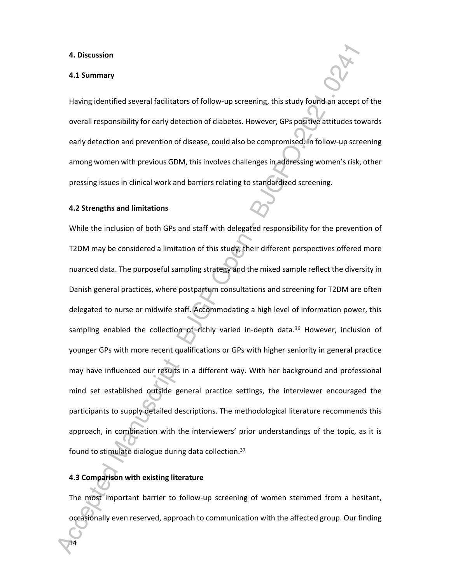#### **4. Discussion**

#### **4.1 Summary**

Having identified several facilitators of follow-up screening, this study found an accept of the overall responsibility for early detection of diabetes. However, GPs positive attitudes towards early detection and prevention of disease, could also be compromised. In follow-up screening among women with previous GDM, this involves challenges in addressing women's risk, other pressing issues in clinical work and barriers relating to standardized screening.

#### **4.2 Strengths and limitations**

While the inclusion of both GPs and staff with delegated responsibility for the prevention of T2DM may be considered a limitation of this study, their different perspectives offered more nuanced data. The purposeful sampling strategy and the mixed sample reflect the diversity in Danish general practices, where postpartum consultations and screening for T2DM are often delegated to nurse or midwife staff. Accommodating a high level of information power, this sampling enabled the collection of richly varied in-depth data.<sup>36</sup> However, inclusion of younger GPs with more recent qualifications or GPs with higher seniority in general practice may have influenced our results in a different way. With her background and professional mind set established outside general practice settings, the interviewer encouraged the participants to supply detailed descriptions. The methodological literature recommends this approach, in combination with the interviewers' prior understandings of the topic, as it is found to stimulate dialogue during data collection.<sup>37</sup>

# **4.3 Comparison with existing literature**

14

The most important barrier to follow-up screening of women stemmed from a hesitant, occasionally even reserved, approach to communication with the affected group. Our finding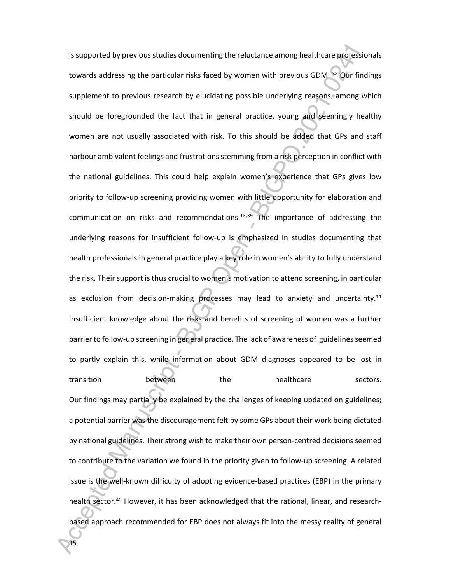is supported by previous studies documenting the reluctance among healthcare professionals towards addressing the particular risks faced by women with previous GDM. <sup>38</sup> Our findings supplement to previous research by elucidating possible underlying reasons, among which should be foregrounded the fact that in general practice, young and seemingly healthy women are not usually associated with risk. To this should be added that GPs and staff harbour ambivalent feelings and frustrations stemming from a risk perception in conflict with the national guidelines. This could help explain women's experience that GPs gives low priority to follow-up screening providing women with little opportunity for elaboration and communication on risks and recommendations.<sup>13,39</sup> The importance of addressing the underlying reasons for insufficient follow-up is emphasized in studies documenting that health professionals in general practice play a key role in women's ability to fully understand the risk. Their support is thus crucial to women's motivation to attend screening, in particular as exclusion from decision-making processes may lead to anxiety and uncertainty.<sup>11</sup> Insufficient knowledge about the risks and benefits of screening of women was a further barrier to follow-up screening in general practice. The lack of awareness of guidelines seemed to partly explain this, while information about GDM diagnoses appeared to be lost in transition between the healthcare sectors. Our findings may partially be explained by the challenges of keeping updated on guidelines; a potential barrier was the discouragement felt by some GPs about their work being dictated by national guidelines. Their strong wish to make their own person-centred decisions seemed to contribute to the variation we found in the priority given to follow-up screening. A related issue is the well-known difficulty of adopting evidence-based practices (EBP) in the primary health sector.<sup>40</sup> However, it has been acknowledged that the rational, linear, and researchbased approach recommended for EBP does not always fit into the messy reality of general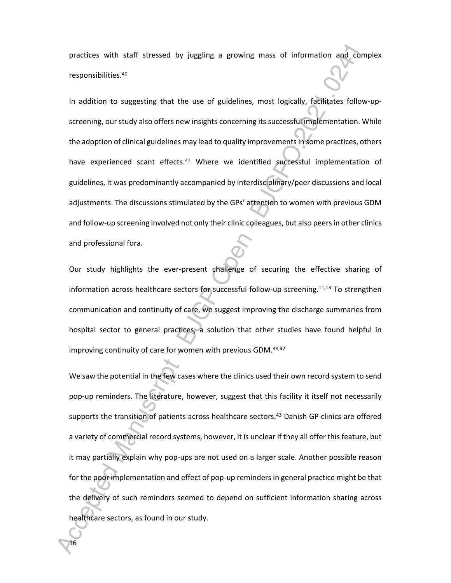practices with staff stressed by juggling a growing mass of information and complex responsibilities.<sup>40</sup>

In addition to suggesting that the use of guidelines, most logically, facilitates follow-upscreening, our study also offers new insights concerning its successful implementation. While the adoption of clinical guidelines may lead to quality improvements in some practices, others have experienced scant effects.<sup>41</sup> Where we identified successful implementation of guidelines, it was predominantly accompanied by interdisciplinary/peer discussions and local adjustments. The discussions stimulated by the GPs' attention to women with previous GDM and follow-up screening involved not only their clinic colleagues, but also peers in other clinics and professional fora.

Our study highlights the ever-present challenge of securing the effective sharing of information across healthcare sectors for successful follow-up screening.<sup>11,13</sup> To strengthen communication and continuity of care, we suggest improving the discharge summaries from hospital sector to general practices, a solution that other studies have found helpful in improving continuity of care for women with previous GDM.<sup>38,42</sup>

We saw the potential in the few cases where the clinics used their own record system to send pop-up reminders. The literature, however, suggest that this facility it itself not necessarily supports the transition of patients across healthcare sectors.<sup>43</sup> Danish GP clinics are offered a variety of commercial record systems, however, it is unclear if they all offer this feature, but it may partially explain why pop-ups are not used on a larger scale. Another possible reason for the poor implementation and effect of pop-up reminders in general practice might be that the delivery of such reminders seemed to depend on sufficient information sharing across healthcare sectors, as found in our study.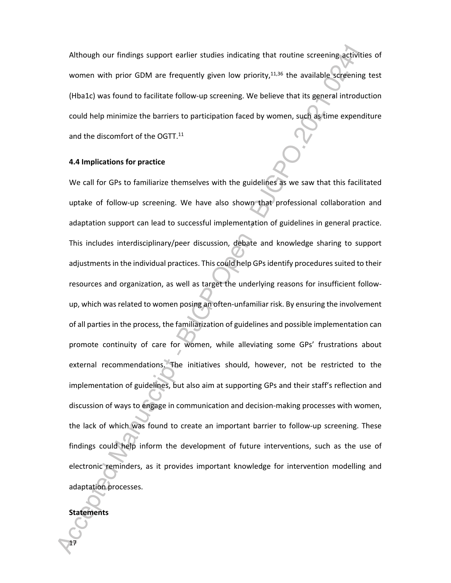Although our findings support earlier studies indicating that routine screening activities of women with prior GDM are frequently given low priority, $11,36$  the available screening test (Hba1c) was found to facilitate follow-up screening. We believe that its general introduction could help minimize the barriers to participation faced by women, such as time expenditure and the discomfort of the OGTT.<sup>11</sup>

# **4.4 Implications for practice**

We call for GPs to familiarize themselves with the guidelines as we saw that this facilitated uptake of follow-up screening. We have also shown that professional collaboration and adaptation support can lead to successful implementation of guidelines in general practice. This includes interdisciplinary/peer discussion, debate and knowledge sharing to support adjustments in the individual practices. This could help GPs identify procedures suited to their resources and organization, as well as target the underlying reasons for insufficient followup, which was related to women posing an often-unfamiliar risk. By ensuring the involvement of all parties in the process, the familiarization of guidelines and possible implementation can promote continuity of care for women, while alleviating some GPs' frustrations about external recommendations. The initiatives should, however, not be restricted to the implementation of guidelines, but also aim at supporting GPs and their staff's reflection and discussion of ways to engage in communication and decision-making processes with women, the lack of which was found to create an important barrier to follow-up screening. These findings could help inform the development of future interventions, such as the use of electronic reminders, as it provides important knowledge for intervention modelling and adaptation processes.

#### **Statements**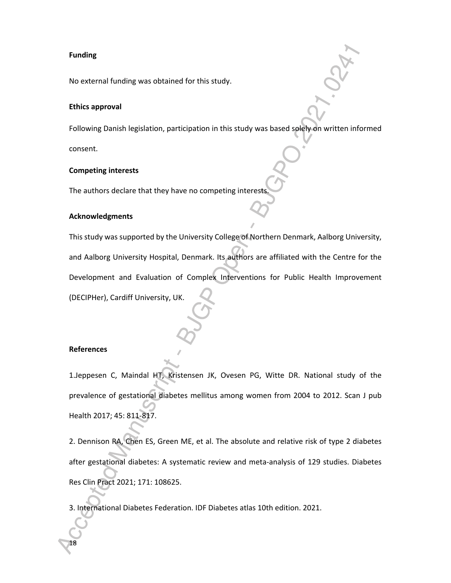#### **Funding**

No external funding was obtained for this study.

# **Ethics approval**

Following Danish legislation, participation in this study was based solely on written informed consent.

#### **Competing interests**

The authors declare that they have no competing interest

# **Acknowledgments**

This study was supported by the University College of Northern Denmark, Aalborg University, and Aalborg University Hospital, Denmark. Its authors are affiliated with the Centre for the Development and Evaluation of Complex Interventions for Public Health Improvement (DECIPHer), Cardiff University, UK.

#### **References**

18

1.Jeppesen C, Maindal HT, Kristensen JK, Ovesen PG, Witte DR. National study of the prevalence of gestational diabetes mellitus among women from 2004 to 2012. Scan J pub Health 2017; 45: 811-817.

2. Dennison RA, Chen ES, Green ME, et al. The absolute and relative risk of type 2 diabetes after gestational diabetes: A systematic review and meta-analysis of 129 studies. Diabetes Res Clin Pract 2021; 171: 108625.

3. International Diabetes Federation. IDF Diabetes atlas 10th edition. 2021.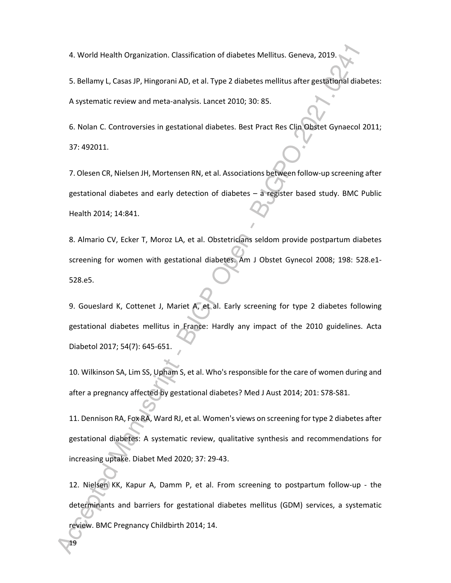4. World Health Organization. Classification of diabetes Mellitus. Geneva, 2019.

5. Bellamy L, Casas JP, Hingorani AD, et al. Type 2 diabetes mellitus after gestational diabetes: A systematic review and meta-analysis. Lancet 2010; 30: 85.

6. Nolan C. Controversies in gestational diabetes. Best Pract Res Clin Obstet Gynaecol 2011; 37: 492011.

7. Olesen CR, Nielsen JH, Mortensen RN, et al. Associations between follow-up screening after gestational diabetes and early detection of diabetes – a register based study. BMC Public Health 2014; 14:841.

8. Almario CV, Ecker T, Moroz LA, et al. Obstetricians seldom provide postpartum diabetes screening for women with gestational diabetes. Am J Obstet Gynecol 2008; 198: 528.e1- 528.e5.

9. Goueslard K, Cottenet J, Mariet A, et al. Early screening for type 2 diabetes following gestational diabetes mellitus in France: Hardly any impact of the 2010 guidelines. Acta Diabetol 2017; 54(7): 645-651.

10. Wilkinson SA, Lim SS, Upham S, et al. Who's responsible for the care of women during and after a pregnancy affected by gestational diabetes? Med J Aust 2014; 201: S78-S81.

11. Dennison RA, Fox RA, Ward RJ, et al. Women's views on screening for type 2 diabetes after gestational diabetes: A systematic review, qualitative synthesis and recommendations for increasing uptake. Diabet Med 2020; 37: 29-43.

12. Nielsen KK, Kapur A, Damm P, et al. From screening to postpartum follow-up - the determinants and barriers for gestational diabetes mellitus (GDM) services, a systematic review. BMC Pregnancy Childbirth 2014; 14.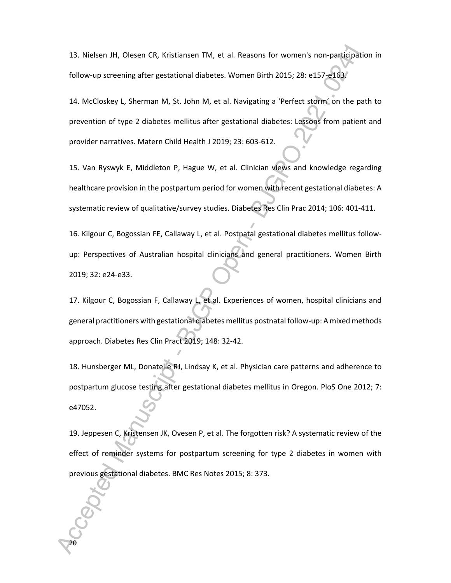13. Nielsen JH, Olesen CR, Kristiansen TM, et al. Reasons for women's non-participation in follow-up screening after gestational diabetes. Women Birth 2015; 28: e157-e163.

14. McCloskey L, Sherman M, St. John M, et al. Navigating a 'Perfect storm' on the path to prevention of type 2 diabetes mellitus after gestational diabetes: Lessons from patient and provider narratives. Matern Child Health J 2019; 23: 603-612.

15. Van Ryswyk E, Middleton P, Hague W, et al. Clinician views and knowledge regarding healthcare provision in the postpartum period for women with recent gestational diabetes: A systematic review of qualitative/survey studies. Diabetes Res Clin Prac 2014; 106: 401-411.

16. Kilgour C, Bogossian FE, Callaway L, et al. Postnatal gestational diabetes mellitus followup: Perspectives of Australian hospital clinicians and general practitioners. Women Birth 2019; 32: e24-e33.

17. Kilgour C, Bogossian F, Callaway L, et al. Experiences of women, hospital clinicians and general practitioners with gestational diabetes mellitus postnatal follow-up: A mixed methods approach. Diabetes Res Clin Pract 2019; 148: 32-42.

18. Hunsberger ML, Donatelle RJ, Lindsay K, et al. Physician care patterns and adherence to postpartum glucose testing after gestational diabetes mellitus in Oregon. PloS One 2012; 7: e47052.

19. Jeppesen C, Kristensen JK, Ovesen P, et al. The forgotten risk? A systematic review of the effect of reminder systems for postpartum screening for type 2 diabetes in women with previous gestational diabetes. BMC Res Notes 2015; 8: 373.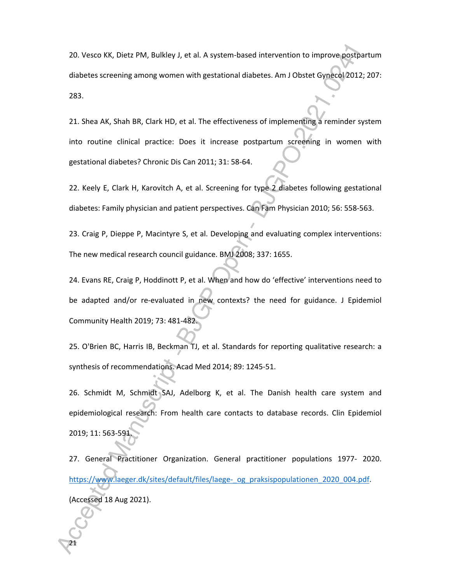20. Vesco KK, Dietz PM, Bulkley J, et al. A system-based intervention to improve postpartum diabetes screening among women with gestational diabetes. Am J Obstet Gynecol 2012; 207: 283.

21. Shea AK, Shah BR, Clark HD, et al. The effectiveness of implementing a reminder system into routine clinical practice: Does it increase postpartum screening in women with gestational diabetes? Chronic Dis Can 2011; 31: 58-64.

22. Keely E, Clark H, Karovitch A, et al. Screening for type 2 diabetes following gestational diabetes: Family physician and patient perspectives. Can Fam Physician 2010; 56: 558-563.

23. Craig P, Dieppe P, Macintyre S, et al. Developing and evaluating complex interventions: The new medical research council guidance. BMJ 2008; 337: 1655.

24. Evans RE, Craig P, Hoddinott P, et al. When and how do 'effective' interventions need to be adapted and/or re-evaluated in new contexts? the need for guidance. J Epidemiol Community Health 2019; 73: 481-482.

25. O'Brien BC, Harris IB, Beckman TJ, et al. Standards for reporting qualitative research: a synthesis of recommendations. Acad Med 2014; 89: 1245-51.

26. Schmidt M, Schmidt SAJ, Adelborg K, et al. The Danish health care system and epidemiological research: From health care contacts to database records. Clin Epidemiol 2019; 11: 563-591.

27. General Practitioner Organization. General practitioner populations 1977- 2020. https://www.laeger.dk/sites/default/files/laege-\_og\_praksispopulationen\_2020\_004.pdf. (Accessed 18 Aug 2021).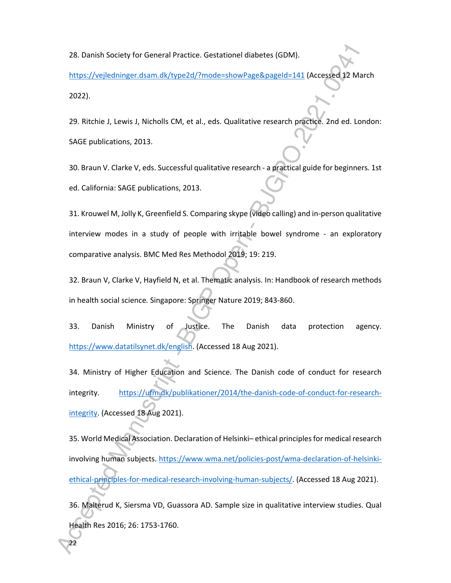28. Danish Society for General Practice. Gestationel diabetes (GDM).

https://vejledninger.dsam.dk/type2d/?mode=showPage&pageId=141 (Accessed 12 March 2022).

29. Ritchie J, Lewis J, Nicholls CM, et al., eds. Qualitative research practice*.* 2nd ed. London: SAGE publications, 2013.

30. Braun V. Clarke V, eds. Successful qualitative research - a practical guide for beginners*.* 1st ed. California: SAGE publications, 2013.

31. Krouwel M, Jolly K, Greenfield S. Comparing skype (video calling) and in-person qualitative interview modes in a study of people with irritable bowel syndrome - an exploratory comparative analysis. BMC Med Res Methodol 2019; 19: 219.

32. Braun V, Clarke V, Hayfield N, et al. Thematic analysis. In: Handbook of research methods in health social science*.* Singapore: Springer Nature 2019; 843-860.

33. Danish Ministry of Justice. The Danish data protection agency. https://www.datatilsynet.dk/english. (Accessed 18 Aug 2021).

34. Ministry of Higher Education and Science. The Danish code of conduct for research integrity. https://ufm.dk/publikationer/2014/the-danish-code-of-conduct-for-researchintegrity. (Accessed 18 Aug 2021).

35. World Medical Association. Declaration of Helsinki– ethical principles for medical research involving human subjects. https://www.wma.net/policies-post/wma-declaration-of-helsinkiethical-principles-for-medical-research-involving-human-subjects/. (Accessed 18 Aug 2021).

36. Malterud K, Siersma VD, Guassora AD. Sample size in qualitative interview studies. Qual Health Res 2016; 26: 1753-1760.